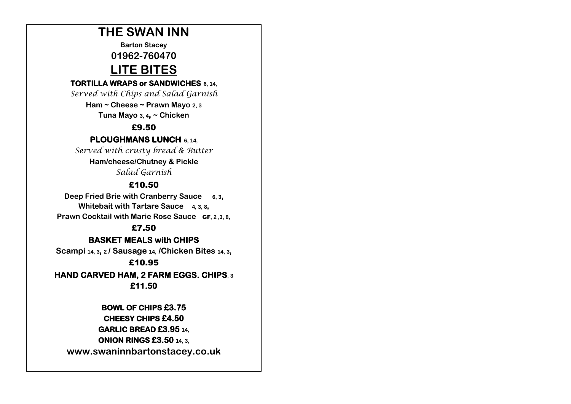## **THE SWAN INN**

**Barton Stacey**

**01962-760470**

# **LITE BITES**

#### **TORTILLA WRAPS or SANDWICHES 6, 14,**

*Served with Chips and Salad Garnish*

**Ham ~ Cheese ~ Prawn Mayo 2, 3** 

**Tuna Mayo 3, 4**, **~ Chicken**

#### £9.50

**PLOUGHMANS LUNCH 6, 14,**

*Served with crusty bread & Butter*

#### **Ham/cheese/Chutney & Pickle** *Salad Garnish*

### £10.50

**Deep Fried Brie with Cranberry Sauce 6, 3, Whitebait with Tartare Sauce 4, 3, 8, Prawn Cocktail with Marie Rose Sauce** GF**, 2 ,3, 8,**

#### £7.50

#### **BASKET MEALS with CHIPS**

**Scampi 14, <sup>3</sup>, <sup>2</sup>/ Sausage 14, /Chicken Bites 14, <sup>3</sup>,**

#### £10.95

**HAND CARVED HAM, 2 FARM EGGS. CHIPS, <sup>3</sup> £11.50** 

> **BOWL OF CHIPS £3.75 CHEESY CHIPS £4.50 GARLIC BREAD £3.95 14, ONION RINGS £3.50 14, 3,**

**www.swaninnbartonstacey.co.uk**